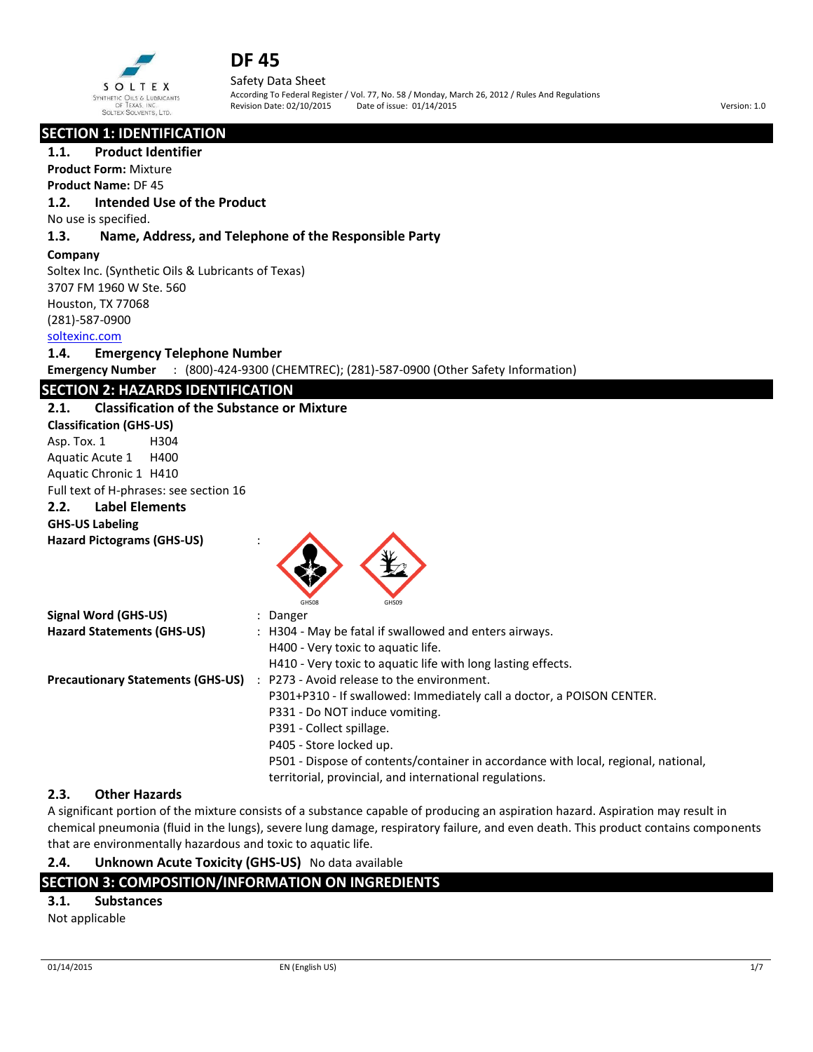

Safety Data Sheet According To Federal Register / Vol. 77, No. 58 / Monday, March 26, 2012 / Rules And Regulations Revision Date: 02/10/2015 Date of issue: 01/14/2015 Version: 1.0

# **SECTION 1: IDENTIFICATION**

#### **1.1. Product Identifier**

**Product Form:** Mixture **Product Name:** DF 45

## **1.2. Intended Use of the Product**

No use is specified.

### **1.3. Name, Address, and Telephone of the Responsible Party**

#### **Company**

Soltex Inc. (Synthetic Oils & Lubricants of Texas) 3707 FM 1960 W Ste. 560 Houston, TX 77068 (281)-587-0900

## soltexinc.com

#### **1.4. Emergency Telephone Number**

**Emergency Number** : (800)-424-9300 (CHEMTREC); (281)-587-0900 (Other Safety Information)

# **SECTION 2: HAZARDS IDENTIFICATION**

#### **2.1. Classification of the Substance or Mixture**

**Classification (GHS-US)** Asp. Tox. 1 H304 Aquatic Acute 1 H400 Aquatic Chronic 1 H410 Full text of H-phrases: see section 16

# **2.2. Label Elements**

**GHS-US Labeling** 

**Hazard Pictograms (GHS-US)** :



| Signal Word (GHS-US)                     | : Danger                                                                           |
|------------------------------------------|------------------------------------------------------------------------------------|
| <b>Hazard Statements (GHS-US)</b>        | : H304 - May be fatal if swallowed and enters airways.                             |
|                                          | H400 - Very toxic to aquatic life.                                                 |
|                                          | H410 - Very toxic to aquatic life with long lasting effects.                       |
| <b>Precautionary Statements (GHS-US)</b> | : P273 - Avoid release to the environment.                                         |
|                                          | P301+P310 - If swallowed: Immediately call a doctor, a POISON CENTER.              |
|                                          | P331 - Do NOT induce vomiting.                                                     |
|                                          | P391 - Collect spillage.                                                           |
|                                          | P405 - Store locked up.                                                            |
|                                          | P501 - Dispose of contents/container in accordance with local, regional, national, |
|                                          | territorial, provincial, and international regulations.                            |

# **2.3. Other Hazards**

A significant portion of the mixture consists of a substance capable of producing an aspiration hazard. Aspiration may result in chemical pneumonia (fluid in the lungs), severe lung damage, respiratory failure, and even death. This product contains components that are environmentally hazardous and toxic to aquatic life.

# **2.4. Unknown Acute Toxicity (GHS-US)** No data available

# **SECTION 3: COMPOSITION/INFORMATION ON INGREDIENTS**

### **3.1. Substances**

Not applicable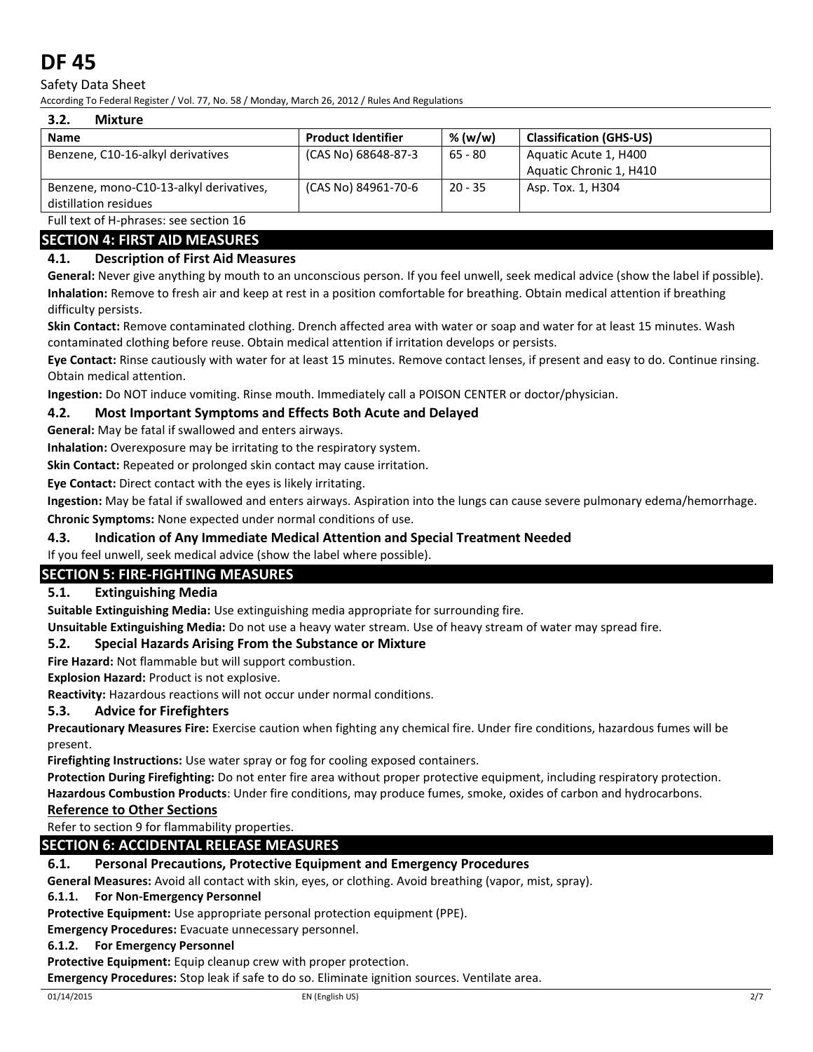## Safety Data Sheet

According To Federal Register / Vol. 77, No. 58 / Monday, March 26, 2012 / Rules And Regulations

#### **3.2. Mixture**

| ----                                    |                           |           |                                |
|-----------------------------------------|---------------------------|-----------|--------------------------------|
| <b>Name</b>                             | <b>Product Identifier</b> | % (w/w)   | <b>Classification (GHS-US)</b> |
| Benzene, C10-16-alkyl derivatives       | (CAS No) 68648-87-3       | 65 - 80   | Aquatic Acute 1, H400          |
|                                         |                           |           | Aquatic Chronic 1, H410        |
| Benzene, mono-C10-13-alkyl derivatives, | (CAS No) 84961-70-6       | $20 - 35$ | Asp. Tox. 1, H304              |
| distillation residues                   |                           |           |                                |

Full text of H-phrases: see section 16

# **SECTION 4: FIRST AID MEASURES**

## **4.1. Description of First Aid Measures**

**General:** Never give anything by mouth to an unconscious person. If you feel unwell, seek medical advice (show the label if possible). **Inhalation:** Remove to fresh air and keep at rest in a position comfortable for breathing. Obtain medical attention if breathing difficulty persists.

**Skin Contact:** Remove contaminated clothing. Drench affected area with water or soap and water for at least 15 minutes. Wash contaminated clothing before reuse. Obtain medical attention if irritation develops or persists.

**Eye Contact:** Rinse cautiously with water for at least 15 minutes. Remove contact lenses, if present and easy to do. Continue rinsing. Obtain medical attention.

**Ingestion:** Do NOT induce vomiting. Rinse mouth. Immediately call a POISON CENTER or doctor/physician.

### **4.2. Most Important Symptoms and Effects Both Acute and Delayed**

**General:** May be fatal if swallowed and enters airways.

**Inhalation:** Overexposure may be irritating to the respiratory system.

**Skin Contact:** Repeated or prolonged skin contact may cause irritation.

**Eye Contact:** Direct contact with the eyes is likely irritating.

**Ingestion:** May be fatal if swallowed and enters airways. Aspiration into the lungs can cause severe pulmonary edema/hemorrhage.

**Chronic Symptoms:** None expected under normal conditions of use.

### **4.3. Indication of Any Immediate Medical Attention and Special Treatment Needed**

If you feel unwell, seek medical advice (show the label where possible).

# **SECTION 5: FIRE-FIGHTING MEASURES**

## **5.1. Extinguishing Media**

**Suitable Extinguishing Media:** Use extinguishing media appropriate for surrounding fire.

**Unsuitable Extinguishing Media:** Do not use a heavy water stream. Use of heavy stream of water may spread fire.

### **5.2. Special Hazards Arising From the Substance or Mixture**

**Fire Hazard:** Not flammable but will support combustion.

**Explosion Hazard:** Product is not explosive.

**Reactivity:** Hazardous reactions will not occur under normal conditions.

### **5.3. Advice for Firefighters**

**Precautionary Measures Fire:** Exercise caution when fighting any chemical fire. Under fire conditions, hazardous fumes will be present.

**Firefighting Instructions:** Use water spray or fog for cooling exposed containers.

**Protection During Firefighting:** Do not enter fire area without proper protective equipment, including respiratory protection. **Hazardous Combustion Products**: Under fire conditions, may produce fumes, smoke, oxides of carbon and hydrocarbons.

### **Reference to Other Sections**

Refer to section 9 for flammability properties.

### **SECTION 6: ACCIDENTAL RELEASE MEASURES**

### **6.1. Personal Precautions, Protective Equipment and Emergency Procedures**

**General Measures:** Avoid all contact with skin, eyes, or clothing. Avoid breathing (vapor, mist, spray).

#### **6.1.1. For Non-Emergency Personnel**

**Protective Equipment:** Use appropriate personal protection equipment (PPE).

**Emergency Procedures:** Evacuate unnecessary personnel.

#### **6.1.2. For Emergency Personnel**

**Protective Equipment:** Equip cleanup crew with proper protection.

**Emergency Procedures:** Stop leak if safe to do so. Eliminate ignition sources. Ventilate area.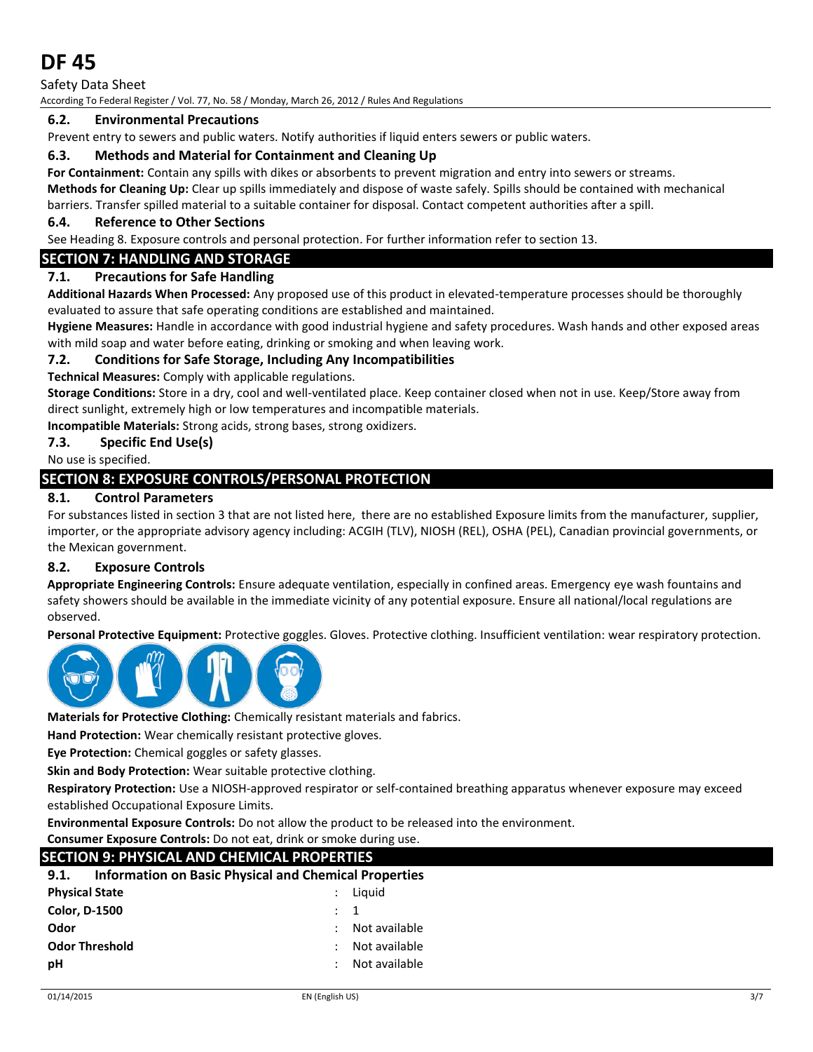Safety Data Sheet According To Federal Register / Vol. 77, No. 58 / Monday, March 26, 2012 / Rules And Regulations

# **6.2. Environmental Precautions**

Prevent entry to sewers and public waters. Notify authorities if liquid enters sewers or public waters.

# **6.3. Methods and Material for Containment and Cleaning Up**

**For Containment:** Contain any spills with dikes or absorbents to prevent migration and entry into sewers or streams. **Methods for Cleaning Up:** Clear up spills immediately and dispose of waste safely. Spills should be contained with mechanical barriers. Transfer spilled material to a suitable container for disposal. Contact competent authorities after a spill.

# **6.4. Reference to Other Sections**

See Heading 8. Exposure controls and personal protection. For further information refer to section 13.

# **SECTION 7: HANDLING AND STORAGE**

# **7.1. Precautions for Safe Handling**

**Additional Hazards When Processed:** Any proposed use of this product in elevated-temperature processes should be thoroughly evaluated to assure that safe operating conditions are established and maintained.

**Hygiene Measures:** Handle in accordance with good industrial hygiene and safety procedures. Wash hands and other exposed areas with mild soap and water before eating, drinking or smoking and when leaving work.

# **7.2. Conditions for Safe Storage, Including Any Incompatibilities**

**Technical Measures:** Comply with applicable regulations.

**Storage Conditions:** Store in a dry, cool and well-ventilated place. Keep container closed when not in use. Keep/Store away from direct sunlight, extremely high or low temperatures and incompatible materials.

**Incompatible Materials:** Strong acids, strong bases, strong oxidizers.

## **7.3. Specific End Use(s)**

No use is specified.

# **SECTION 8: EXPOSURE CONTROLS/PERSONAL PROTECTION**

# **8.1. Control Parameters**

For substances listed in section 3 that are not listed here, there are no established Exposure limits from the manufacturer, supplier, importer, or the appropriate advisory agency including: ACGIH (TLV), NIOSH (REL), OSHA (PEL), Canadian provincial governments, or the Mexican government.

# **8.2. Exposure Controls**

**Appropriate Engineering Controls:** Ensure adequate ventilation, especially in confined areas. Emergency eye wash fountains and safety showers should be available in the immediate vicinity of any potential exposure. Ensure all national/local regulations are observed.

**Personal Protective Equipment:** Protective goggles. Gloves. Protective clothing. Insufficient ventilation: wear respiratory protection.



**Materials for Protective Clothing:** Chemically resistant materials and fabrics.

**Hand Protection:** Wear chemically resistant protective gloves.

**Eye Protection:** Chemical goggles or safety glasses.

**Skin and Body Protection:** Wear suitable protective clothing.

**Respiratory Protection:** Use a NIOSH-approved respirator or self-contained breathing apparatus whenever exposure may exceed established Occupational Exposure Limits.

**Environmental Exposure Controls:** Do not allow the product to be released into the environment.

**Consumer Exposure Controls:** Do not eat, drink or smoke during use.

| SECTION 9: PHYSICAL AND CHEMICAL PROPERTIES                          |                |               |
|----------------------------------------------------------------------|----------------|---------------|
| <b>Information on Basic Physical and Chemical Properties</b><br>9.1. |                |               |
| <b>Physical State</b>                                                |                | Liguid        |
| <b>Color, D-1500</b>                                                 | $\therefore$ 1 |               |
| Odor                                                                 |                | Not available |
| <b>Odor Threshold</b>                                                |                | Not available |
| рH                                                                   |                | Not available |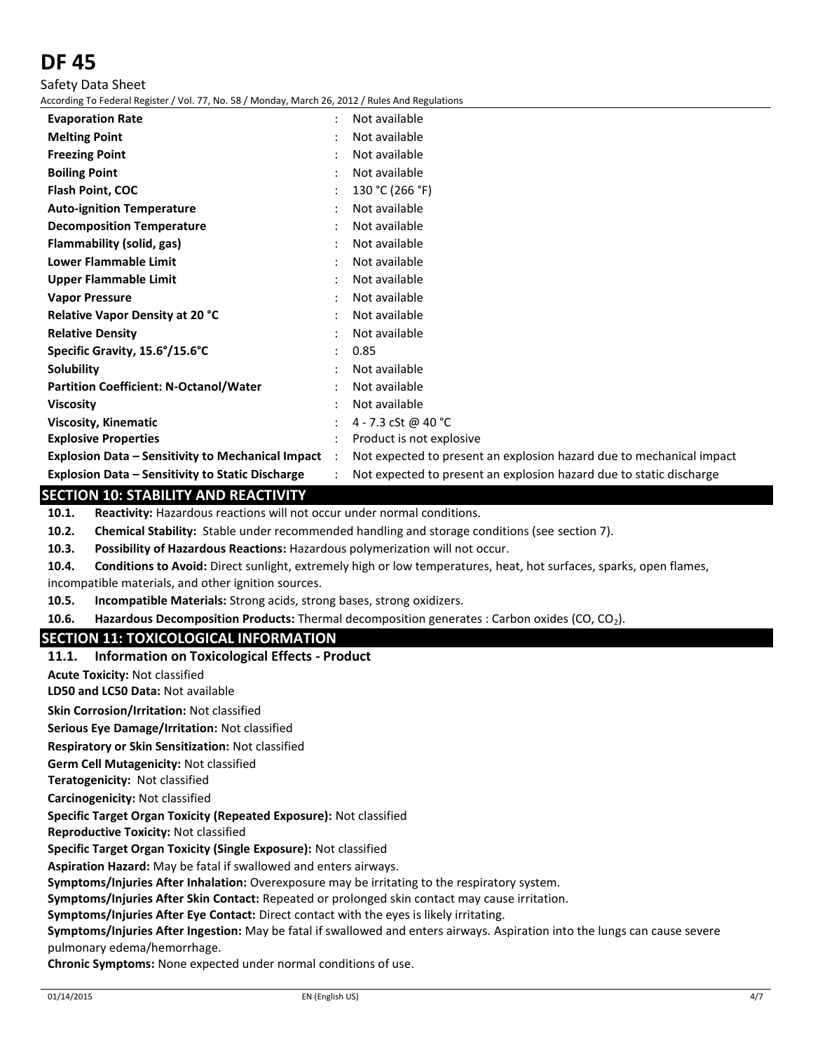Safety Data Sheet

According To Federal Register / Vol. 77, No. 58 / Monday, March 26, 2012 / Rules And Regulations

| <b>Evaporation Rate</b>                                  | $\ddot{\phantom{a}}$ | Not available                                                        |
|----------------------------------------------------------|----------------------|----------------------------------------------------------------------|
| <b>Melting Point</b>                                     |                      | Not available                                                        |
| <b>Freezing Point</b>                                    |                      | Not available                                                        |
| <b>Boiling Point</b>                                     |                      | Not available                                                        |
| Flash Point, COC                                         |                      | 130 °C (266 °F)                                                      |
| <b>Auto-ignition Temperature</b>                         |                      | Not available                                                        |
| <b>Decomposition Temperature</b>                         |                      | Not available                                                        |
| Flammability (solid, gas)                                |                      | Not available                                                        |
| <b>Lower Flammable Limit</b>                             |                      | Not available                                                        |
| Upper Flammable Limit                                    |                      | Not available                                                        |
| <b>Vapor Pressure</b>                                    |                      | Not available                                                        |
| <b>Relative Vapor Density at 20 °C</b>                   |                      | Not available                                                        |
| <b>Relative Density</b>                                  |                      | Not available                                                        |
| Specific Gravity, 15.6°/15.6°C                           |                      | 0.85                                                                 |
| Solubility                                               |                      | Not available                                                        |
| <b>Partition Coefficient: N-Octanol/Water</b>            |                      | Not available                                                        |
| <b>Viscosity</b>                                         |                      | Not available                                                        |
| <b>Viscosity, Kinematic</b>                              |                      | 4 - 7.3 cSt @ 40 °C                                                  |
| <b>Explosive Properties</b>                              |                      | Product is not explosive                                             |
| <b>Explosion Data - Sensitivity to Mechanical Impact</b> | $\ddot{\phantom{0}}$ | Not expected to present an explosion hazard due to mechanical impact |
| <b>Explosion Data - Sensitivity to Static Discharge</b>  |                      | Not expected to present an explosion hazard due to static discharge  |

## **SECTION 10: STABILITY AND REACTIVITY**

**10.1. Reactivity:** Hazardous reactions will not occur under normal conditions.

**10.2. Chemical Stability:** Stable under recommended handling and storage conditions (see section 7).

**10.3. Possibility of Hazardous Reactions:** Hazardous polymerization will not occur.

**10.4. Conditions to Avoid:** Direct sunlight, extremely high or low temperatures, heat, hot surfaces, sparks, open flames, incompatible materials, and other ignition sources.

**10.5. Incompatible Materials:** Strong acids, strong bases, strong oxidizers.

**10.6. Hazardous Decomposition Products:** Thermal decomposition generates : Carbon oxides (CO, CO2).

# **SECTION 11: TOXICOLOGICAL INFORMATION**

**11.1. Information on Toxicological Effects - Product**

**Acute Toxicity:** Not classified

**LD50 and LC50 Data:** Not available

**Skin Corrosion/Irritation:** Not classified

**Serious Eye Damage/Irritation:** Not classified

**Respiratory or Skin Sensitization:** Not classified

**Germ Cell Mutagenicity:** Not classified

**Teratogenicity:** Not classified

**Carcinogenicity:** Not classified

**Specific Target Organ Toxicity (Repeated Exposure):** Not classified

**Reproductive Toxicity:** Not classified

**Specific Target Organ Toxicity (Single Exposure):** Not classified

**Aspiration Hazard:** May be fatal if swallowed and enters airways.

**Symptoms/Injuries After Inhalation:** Overexposure may be irritating to the respiratory system.

**Symptoms/Injuries After Skin Contact:** Repeated or prolonged skin contact may cause irritation.

**Symptoms/Injuries After Eye Contact:** Direct contact with the eyes is likely irritating.

**Symptoms/Injuries After Ingestion:** May be fatal if swallowed and enters airways. Aspiration into the lungs can cause severe pulmonary edema/hemorrhage.

**Chronic Symptoms:** None expected under normal conditions of use.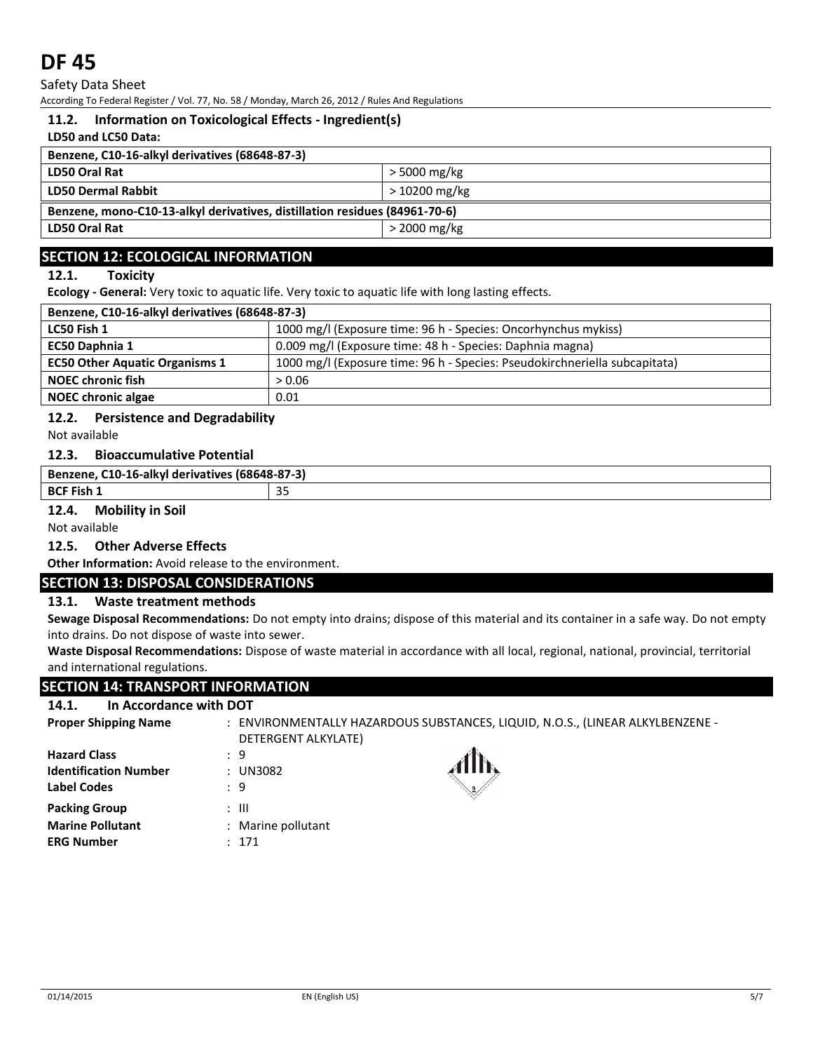Safety Data Sheet

According To Federal Register / Vol. 77, No. 58 / Monday, March 26, 2012 / Rules And Regulations

## **11.2. Information on Toxicological Effects - Ingredient(s)**

#### **LD50 and LC50 Data:**

| LD50 Oral Rat<br>$>$ 5000 mg/kg<br>$>10200 \,\mathrm{mg/kg}$<br>Benzene, mono-C10-13-alkyl derivatives, distillation residues (84961-70-6) | Benzene, C10-16-alkyl derivatives (68648-87-3) |  |  |
|--------------------------------------------------------------------------------------------------------------------------------------------|------------------------------------------------|--|--|
|                                                                                                                                            |                                                |  |  |
|                                                                                                                                            | <b>LD50 Dermal Rabbit</b>                      |  |  |
|                                                                                                                                            |                                                |  |  |
| LD50 Oral Rat<br>$>$ 2000 mg/kg                                                                                                            |                                                |  |  |

# **SECTION 12: ECOLOGICAL INFORMATION**

### **12.1. Toxicity**

**Ecology - General:** Very toxic to aquatic life. Very toxic to aquatic life with long lasting effects.

| Benzene, C10-16-alkyl derivatives (68648-87-3) |                                                                            |  |
|------------------------------------------------|----------------------------------------------------------------------------|--|
| LC50 Fish 1                                    | 1000 mg/l (Exposure time: 96 h - Species: Oncorhynchus mykiss)             |  |
| EC50 Daphnia 1                                 | 0.009 mg/l (Exposure time: 48 h - Species: Daphnia magna)                  |  |
| <b>EC50 Other Aquatic Organisms 1</b>          | 1000 mg/l (Exposure time: 96 h - Species: Pseudokirchneriella subcapitata) |  |
| <b>NOEC chronic fish</b>                       | > 0.06                                                                     |  |
| <b>NOEC chronic algae</b>                      | 0.01                                                                       |  |

### **12.2. Persistence and Degradability**

Not available

## **12.3. Bioaccumulative Potential**

| (68648-87-3)<br>Ben.<br>lerivatives<br>16-alkvi.<br>:10-<br>ne<br>rzene. | $\sim$ |
|--------------------------------------------------------------------------|--------|
| <b>BCF Fish</b>                                                          | $\sim$ |
|                                                                          | ں ب    |

#### **12.4. Mobility in Soil**

Not available

# **12.5. Other Adverse Effects**

**Other Information:** Avoid release to the environment.

# **SECTION 13: DISPOSAL CONSIDERATIONS**

### **13.1. Waste treatment methods**

**Sewage Disposal Recommendations:** Do not empty into drains; dispose of this material and its container in a safe way. Do not empty into drains. Do not dispose of waste into sewer.

**Waste Disposal Recommendations:** Dispose of waste material in accordance with all local, regional, national, provincial, territorial and international regulations.

### **SECTION 14: TRANSPORT INFORMATION**

#### **14.1. In Accordance with DOT**

| <b>Proper Shipping Name</b>                                          | $\ddot{\phantom{0}}$<br>DETERGENT ALKYLATE) | ENVIRONMENTALLY HAZARDOUS SUBSTANCES, LIQUID, N.O.S., (LINEAR ALKYLBENZENE - |
|----------------------------------------------------------------------|---------------------------------------------|------------------------------------------------------------------------------|
| <b>Hazard Class</b><br><b>Identification Number</b>                  | : 9<br>: UN3082                             |                                                                              |
| <b>Label Codes</b>                                                   | : 9                                         |                                                                              |
| <b>Packing Group</b><br><b>Marine Pollutant</b><br><b>ERG Number</b> | : III<br>: Marine pollutant<br>: 171        |                                                                              |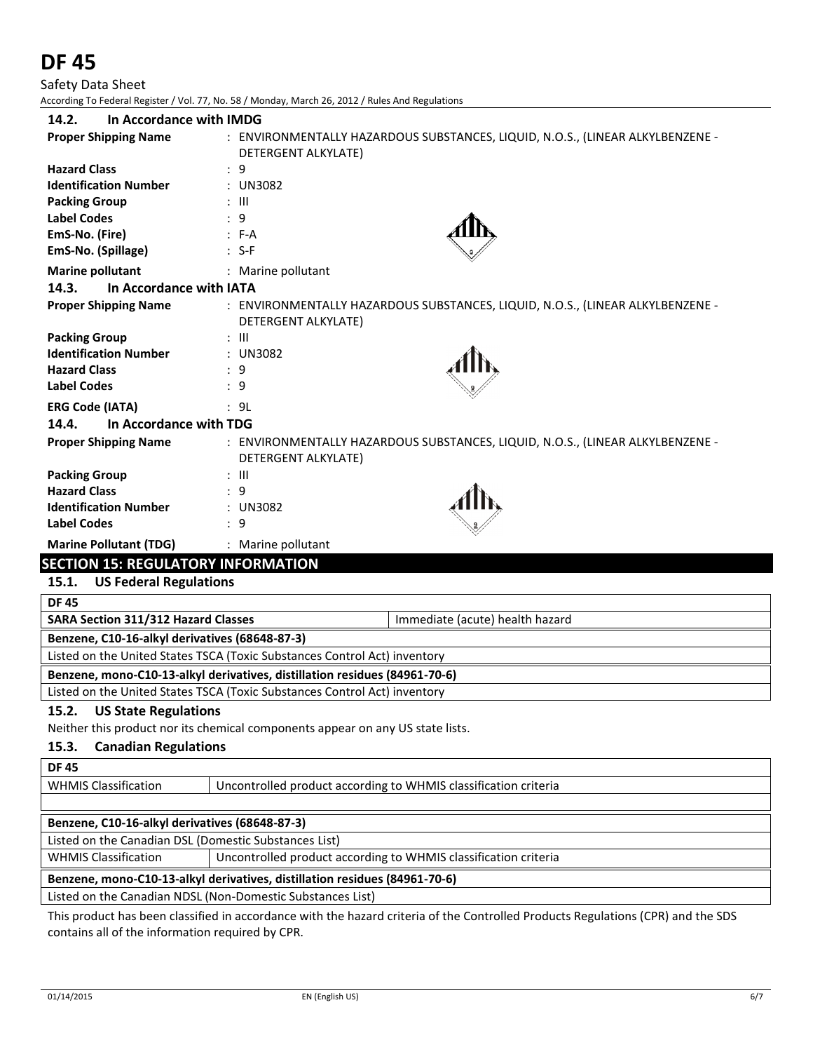Safety Data Sheet According To Federal Register / Vol. 77, No. 58 / Monday, March 26, 2012 / Rules And Regulations

| In Accordance with IMDG<br>14.2.          |                                                                                                       |
|-------------------------------------------|-------------------------------------------------------------------------------------------------------|
| <b>Proper Shipping Name</b>               | : ENVIRONMENTALLY HAZARDOUS SUBSTANCES, LIQUID, N.O.S., (LINEAR ALKYLBENZENE -<br>DETERGENT ALKYLATE) |
| <b>Hazard Class</b>                       | : 9                                                                                                   |
| <b>Identification Number</b>              | : UN3082                                                                                              |
| <b>Packing Group</b>                      | $:$ $\mathbb{H}$                                                                                      |
| <b>Label Codes</b>                        | : 9                                                                                                   |
| EmS-No. (Fire)                            | $: F-A$                                                                                               |
| EmS-No. (Spillage)                        | $: S-F$                                                                                               |
| <b>Marine pollutant</b>                   | : Marine pollutant                                                                                    |
| In Accordance with IATA<br>14.3.          |                                                                                                       |
| <b>Proper Shipping Name</b>               | : ENVIRONMENTALLY HAZARDOUS SUBSTANCES, LIQUID, N.O.S., (LINEAR ALKYLBENZENE -<br>DETERGENT ALKYLATE) |
| <b>Packing Group</b>                      | $:$ $III$                                                                                             |
| <b>Identification Number</b>              | : UN3082                                                                                              |
| <b>Hazard Class</b>                       | : 9                                                                                                   |
| <b>Label Codes</b>                        | : 9                                                                                                   |
| <b>ERG Code (IATA)</b>                    | : 9L                                                                                                  |
| 14.4.<br>In Accordance with TDG           |                                                                                                       |
| <b>Proper Shipping Name</b>               | : ENVIRONMENTALLY HAZARDOUS SUBSTANCES, LIQUID, N.O.S., (LINEAR ALKYLBENZENE -<br>DETERGENT ALKYLATE) |
| <b>Packing Group</b>                      | : III                                                                                                 |
| <b>Hazard Class</b>                       | : 9                                                                                                   |
| <b>Identification Number</b>              | : UN3082                                                                                              |
| <b>Label Codes</b>                        | : 9                                                                                                   |
| <b>Marine Pollutant (TDG)</b>             | : Marine pollutant                                                                                    |
| <b>SECTION 15: REGULATORY INFORMATION</b> |                                                                                                       |

# **15.1. US Federal Regulations**

| <b>DF 45</b>                                                                  |  |  |
|-------------------------------------------------------------------------------|--|--|
| <b>SARA Section 311/312 Hazard Classes</b><br>Immediate (acute) health hazard |  |  |
| Benzene, C10-16-alkyl derivatives (68648-87-3)                                |  |  |
| Listed on the United States TSCA (Toxic Substances Control Act) inventory     |  |  |
| Benzene, mono-C10-13-alkyl derivatives, distillation residues (84961-70-6)    |  |  |
| Listed on the United States TSCA (Toxic Substances Control Act) inventory     |  |  |

### **15.2. US State Regulations**

Neither this product nor its chemical components appear on any US state lists.

### **15.3. Canadian Regulations**

WHMIS Classification | Uncontrolled product according to WHMIS classification criteria

# **Benzene, C10-16-alkyl derivatives (68648-87-3)**

Listed on the Canadian DSL (Domestic Substances List)

WHMIS Classification | Uncontrolled product according to WHMIS classification criteria

# **Benzene, mono-C10-13-alkyl derivatives, distillation residues (84961-70-6)**

Listed on the Canadian NDSL (Non-Domestic Substances List)

This product has been classified in accordance with the hazard criteria of the Controlled Products Regulations (CPR) and the SDS contains all of the information required by CPR.